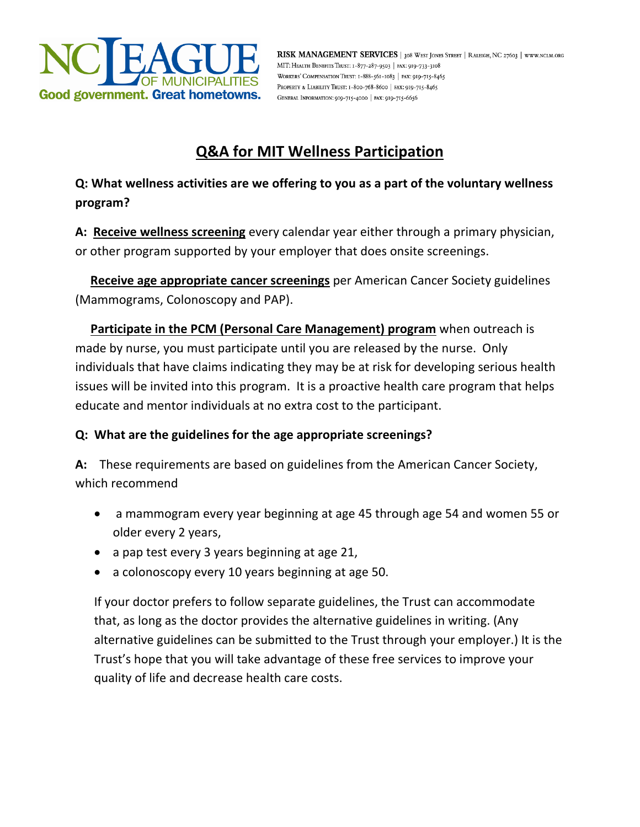

RISK MANAGEMENT SERVICES | 308 WEST JONES STREET | RALEIGH, NC 27603 | WWW.NCLM.ORG MIT: HEALTH BENEFITS TRUST: 1-877-287-9503 | FAX: 919-733-3108 WORKERS' COMPENSATION TRUST: I-888-561-1083 | FAX: 919-715-8465 PROPERTY & LIABILITY TRUST: 1-800-768-8600 | FAX: 919-715-8465 GENERAL INFORMATION: 010-715-4000 | FAX: 010-715-6656

## **Q&A for MIT Wellness Participation**

**Q: What wellness activities are we offering to you as a part of the voluntary wellness program?**

**A: Receive wellness screening** every calendar year either through a primary physician, or other program supported by your employer that does onsite screenings.

 **Receive age appropriate cancer screenings** per American Cancer Society guidelines (Mammograms, Colonoscopy and PAP).

 **Participate in the PCM (Personal Care Management) program** when outreach is made by nurse, you must participate until you are released by the nurse. Only individuals that have claims indicating they may be at risk for developing serious health issues will be invited into this program. It is a proactive health care program that helps educate and mentor individuals at no extra cost to the participant.

## **Q: What are the guidelines for the age appropriate screenings?**

**A:** These requirements are based on guidelines from the American Cancer Society, which recommend

- a mammogram every year beginning at age 45 through age 54 and women 55 or older every 2 years,
- a pap test every 3 years beginning at age 21,
- a colonoscopy every 10 years beginning at age 50.

If your doctor prefers to follow separate guidelines, the Trust can accommodate that, as long as the doctor provides the alternative guidelines in writing. (Any alternative guidelines can be submitted to the Trust through your employer.) It is the Trust's hope that you will take advantage of these free services to improve your quality of life and decrease health care costs.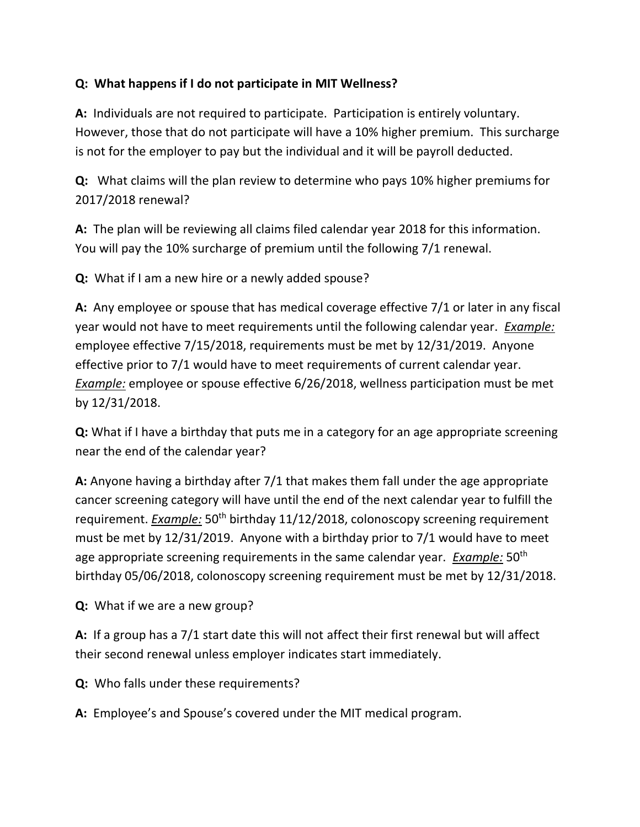## **Q: What happens if I do not participate in MIT Wellness?**

**A:** Individuals are not required to participate. Participation is entirely voluntary. However, those that do not participate will have a 10% higher premium. This surcharge is not for the employer to pay but the individual and it will be payroll deducted.

**Q:** What claims will the plan review to determine who pays 10% higher premiums for 2017/2018 renewal?

**A:** The plan will be reviewing all claims filed calendar year 2018 for this information. You will pay the 10% surcharge of premium until the following 7/1 renewal.

**Q:** What if I am a new hire or a newly added spouse?

**A:** Any employee or spouse that has medical coverage effective 7/1 or later in any fiscal year would not have to meet requirements until the following calendar year. *Example:* employee effective 7/15/2018, requirements must be met by 12/31/2019. Anyone effective prior to 7/1 would have to meet requirements of current calendar year. *Example:* employee or spouse effective 6/26/2018, wellness participation must be met by 12/31/2018.

**Q:** What if I have a birthday that puts me in a category for an age appropriate screening near the end of the calendar year?

**A:** Anyone having a birthday after 7/1 that makes them fall under the age appropriate cancer screening category will have until the end of the next calendar year to fulfill the requirement. *Example:* 50<sup>th</sup> birthday 11/12/2018, colonoscopy screening requirement must be met by 12/31/2019. Anyone with a birthday prior to 7/1 would have to meet age appropriate screening requirements in the same calendar year. *Example:* 50th birthday 05/06/2018, colonoscopy screening requirement must be met by 12/31/2018.

**Q:** What if we are a new group?

**A:** If a group has a 7/1 start date this will not affect their first renewal but will affect their second renewal unless employer indicates start immediately.

**Q:** Who falls under these requirements?

**A:** Employee's and Spouse's covered under the MIT medical program.